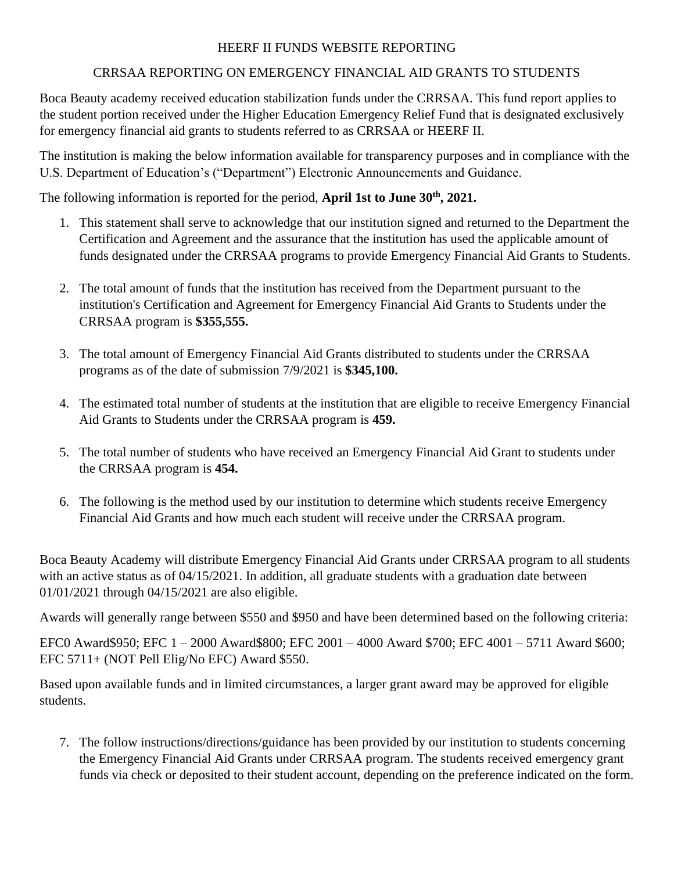# HEERF II FUNDS WEBSITE REPORTING

## CRRSAA REPORTING ON EMERGENCY FINANCIAL AID GRANTS TO STUDENTS

Boca Beauty academy received education stabilization funds under the CRRSAA. This fund report applies to the student portion received under the Higher Education Emergency Relief Fund that is designated exclusively for emergency financial aid grants to students referred to as CRRSAA or HEERF II.

The institution is making the below information available for transparency purposes and in compliance with the U.S. Department of Education's ("Department") Electronic Announcements and Guidance.

The following information is reported for the period, **April 1st to June 30th, 2021.**

- 1. This statement shall serve to acknowledge that our institution signed and returned to the Department the Certification and Agreement and the assurance that the institution has used the applicable amount of funds designated under the CRRSAA programs to provide Emergency Financial Aid Grants to Students.
- 2. The total amount of funds that the institution has received from the Department pursuant to the institution's Certification and Agreement for Emergency Financial Aid Grants to Students under the CRRSAA program is **\$355,555.**
- 3. The total amount of Emergency Financial Aid Grants distributed to students under the CRRSAA programs as of the date of submission 7/9/2021 is **\$345,100.**
- 4. The estimated total number of students at the institution that are eligible to receive Emergency Financial Aid Grants to Students under the CRRSAA program is **459.**
- 5. The total number of students who have received an Emergency Financial Aid Grant to students under the CRRSAA program is **454.**
- 6. The following is the method used by our institution to determine which students receive Emergency Financial Aid Grants and how much each student will receive under the CRRSAA program.

Boca Beauty Academy will distribute Emergency Financial Aid Grants under CRRSAA program to all students with an active status as of 04/15/2021. In addition, all graduate students with a graduation date between 01/01/2021 through 04/15/2021 are also eligible.

Awards will generally range between \$550 and \$950 and have been determined based on the following criteria:

EFC0 Award\$950; EFC 1 – 2000 Award\$800; EFC 2001 – 4000 Award \$700; EFC 4001 – 5711 Award \$600; EFC 5711+ (NOT Pell Elig/No EFC) Award \$550.

Based upon available funds and in limited circumstances, a larger grant award may be approved for eligible students.

7. The follow instructions/directions/guidance has been provided by our institution to students concerning the Emergency Financial Aid Grants under CRRSAA program. The students received emergency grant funds via check or deposited to their student account, depending on the preference indicated on the form.